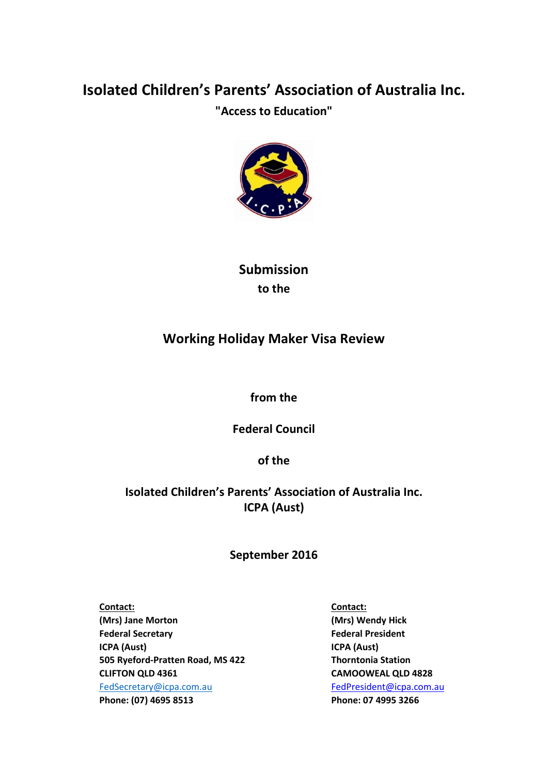# **Isolated Children's Parents' Association of Australia Inc.**

**"Access to Education"**



**Submission to the**

## **Working Holiday Maker Visa Review**

**from the**

**Federal Council**

**of the**

### **Isolated Children's Parents' Association of Australia Inc. ICPA (Aust)**

### **September 2016**

**Contact: Contact: (Mrs) Jane Morton (Mrs) Wendy Hick Federal Secretary Federal President ICPA (Aust) ICPA (Aust) 505 Ryeford-Pratten Road, MS 422 Thorntonia Station CLIFTON QLD 4361 CAMOOWEAL QLD 4828**  [FedSecretary@icpa.com.au](mailto:FedSecretary@icpa.com.au) FedPresident@icpa.com.au **Phone: (07) 4695 8513 Phone: 07 4995 3266**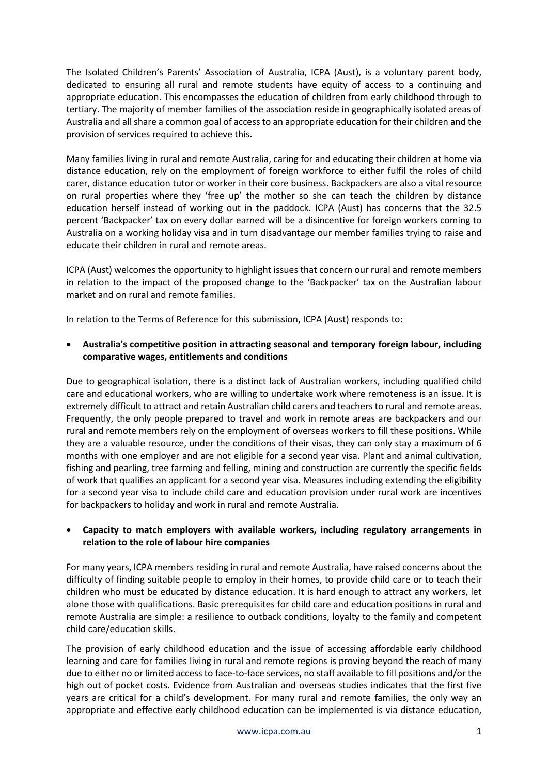The Isolated Children's Parents' Association of Australia, ICPA (Aust), is a voluntary parent body, dedicated to ensuring all rural and remote students have equity of access to a continuing and appropriate education. This encompasses the education of children from early childhood through to tertiary. The majority of member families of the association reside in geographically isolated areas of Australia and all share a common goal of access to an appropriate education for their children and the provision of services required to achieve this.

Many families living in rural and remote Australia, caring for and educating their children at home via distance education, rely on the employment of foreign workforce to either fulfil the roles of child carer, distance education tutor or worker in their core business. Backpackers are also a vital resource on rural properties where they 'free up' the mother so she can teach the children by distance education herself instead of working out in the paddock. ICPA (Aust) has concerns that the 32.5 percent 'Backpacker' tax on every dollar earned will be a disincentive for foreign workers coming to Australia on a working holiday visa and in turn disadvantage our member families trying to raise and educate their children in rural and remote areas.

ICPA (Aust) welcomes the opportunity to highlight issues that concern our rural and remote members in relation to the impact of the proposed change to the 'Backpacker' tax on the Australian labour market and on rural and remote families.

In relation to the Terms of Reference for this submission, ICPA (Aust) responds to:

• **Australia's competitive position in attracting seasonal and temporary foreign labour, including comparative wages, entitlements and conditions**

Due to geographical isolation, there is a distinct lack of Australian workers, including qualified child care and educational workers, who are willing to undertake work where remoteness is an issue. It is extremely difficult to attract and retain Australian child carers and teachers to rural and remote areas. Frequently, the only people prepared to travel and work in remote areas are backpackers and our rural and remote members rely on the employment of overseas workers to fill these positions. While they are a valuable resource, under the conditions of their visas, they can only stay a maximum of 6 months with one employer and are not eligible for a second year visa. Plant and animal cultivation, fishing and pearling, tree farming and felling, mining and construction are currently the specific fields of work that qualifies an applicant for a second year visa. Measures including extending the eligibility for a second year visa to include child care and education provision under rural work are incentives for backpackers to holiday and work in rural and remote Australia.

#### • **Capacity to match employers with available workers, including regulatory arrangements in relation to the role of labour hire companies**

For many years, ICPA members residing in rural and remote Australia, have raised concerns about the difficulty of finding suitable people to employ in their homes, to provide child care or to teach their children who must be educated by distance education. It is hard enough to attract any workers, let alone those with qualifications. Basic prerequisites for child care and education positions in rural and remote Australia are simple: a resilience to outback conditions, loyalty to the family and competent child care/education skills.

The provision of early childhood education and the issue of accessing affordable early childhood learning and care for families living in rural and remote regions is proving beyond the reach of many due to either no or limited access to face-to-face services, no staff available to fill positions and/or the high out of pocket costs. Evidence from Australian and overseas studies indicates that the first five years are critical for a child's development. For many rural and remote families, the only way an appropriate and effective early childhood education can be implemented is via distance education,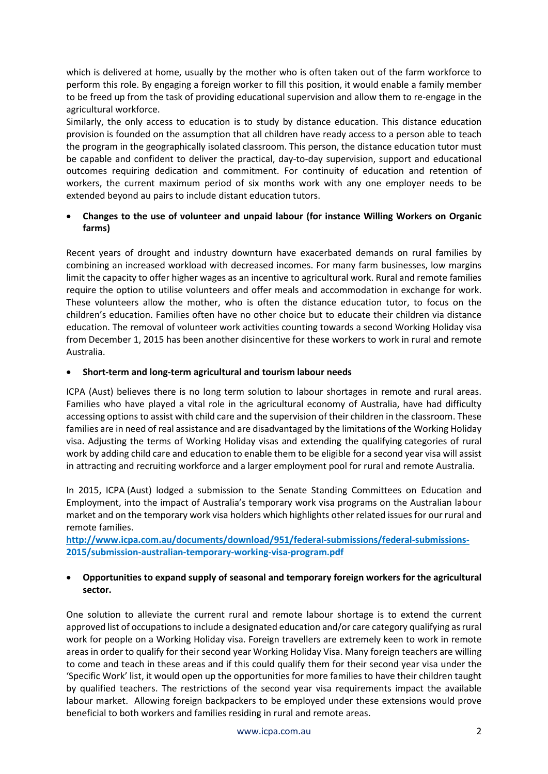which is delivered at home, usually by the mother who is often taken out of the farm workforce to perform this role. By engaging a foreign worker to fill this position, it would enable a family member to be freed up from the task of providing educational supervision and allow them to re-engage in the agricultural workforce.

Similarly, the only access to education is to study by distance education. This distance education provision is founded on the assumption that all children have ready access to a person able to teach the program in the geographically isolated classroom. This person, the distance education tutor must be capable and confident to deliver the practical, day-to-day supervision, support and educational outcomes requiring dedication and commitment. For continuity of education and retention of workers, the current maximum period of six months work with any one employer needs to be extended beyond au pairs to include distant education tutors.

#### • **Changes to the use of volunteer and unpaid labour (for instance Willing Workers on Organic farms)**

Recent years of drought and industry downturn have exacerbated demands on rural families by combining an increased workload with decreased incomes. For many farm businesses, low margins limit the capacity to offer higher wages as an incentive to agricultural work. Rural and remote families require the option to utilise volunteers and offer meals and accommodation in exchange for work. These volunteers allow the mother, who is often the distance education tutor, to focus on the children's education. Families often have no other choice but to educate their children via distance education. The removal of volunteer work activities counting towards a second Working Holiday visa from December 1, 2015 has been another disincentive for these workers to work in rural and remote Australia.

#### • **Short-term and long-term agricultural and tourism labour needs**

ICPA (Aust) believes there is no long term solution to labour shortages in remote and rural areas. Families who have played a vital role in the agricultural economy of Australia, have had difficulty accessing options to assist with child care and the supervision of their children in the classroom. These families are in need of real assistance and are disadvantaged by the limitations of the Working Holiday visa. Adjusting the terms of Working Holiday visas and extending the qualifying categories of rural work by adding child care and education to enable them to be eligible for a second year visa will assist in attracting and recruiting workforce and a larger employment pool for rural and remote Australia.

In 2015, ICPA (Aust) lodged a submission to the Senate Standing Committees on Education and Employment, into the impact of Australia's temporary work visa programs on the Australian labour market and on the temporary work visa holders which highlights other related issues for our rural and remote families.

**[http://www.icpa.com.au/documents/download/951/federal-submissions/federal-submissions-](http://www.icpa.com.au/documents/download/951/federal-submissions/federal-submissions-2015/submission-australian-temporary-working-visa-program.pdf)[2015/submission-australian-temporary-working-visa-program.pdf](http://www.icpa.com.au/documents/download/951/federal-submissions/federal-submissions-2015/submission-australian-temporary-working-visa-program.pdf)**

#### • **Opportunities to expand supply of seasonal and temporary foreign workers for the agricultural sector.**

One solution to alleviate the current rural and remote labour shortage is to extend the current approved list of occupationsto include a designated education and/or care category qualifying as rural work for people on a Working Holiday visa. Foreign travellers are extremely keen to work in remote areas in order to qualify for their second year Working Holiday Visa. Many foreign teachers are willing to come and teach in these areas and if this could qualify them for their second year visa under the 'Specific Work' list, it would open up the opportunities for more families to have their children taught by qualified teachers. The restrictions of the second year visa requirements impact the available labour market. Allowing foreign backpackers to be employed under these extensions would prove beneficial to both workers and families residing in rural and remote areas.